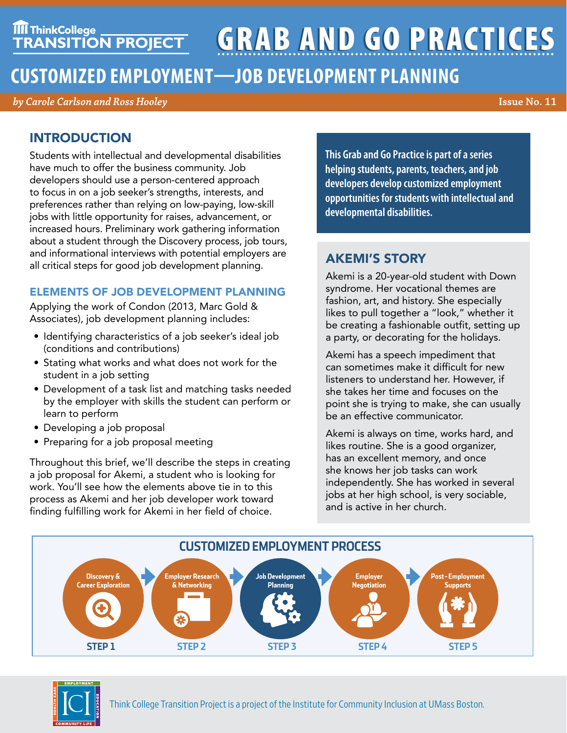# **TIT ThinkCollege**<br>TRANSITION PROJECT **GRAB AND GO PRACTICES**

# **CUSTOMIZED EMPLOYMENT—JOB DEVELOPMENT PLANNING**

*by Carole Carlson and Ross Hooley* **Issue No. 11** 

# INTRODUCTION

Students with intellectual and developmental disabilities have much to offer the business community. Job developers should use a person-centered approach to focus in on a job seeker's strengths, interests, and preferences rather than relying on low-paying, low-skill jobs with little opportunity for raises, advancement, or increased hours. Preliminary work gathering information about a student through the Discovery process, job tours, and informational interviews with potential employers are all critical steps for good job development planning.

#### ELEMENTS OF JOB DEVELOPMENT PLANNING

Applying the work of Condon (2013, Marc Gold & Associates), job development planning includes:

- Identifying characteristics of a job seeker's ideal job (conditions and contributions)
- Stating what works and what does not work for the student in a job setting
- Development of a task list and matching tasks needed by the employer with skills the student can perform or learn to perform
- Developing a job proposal
- Preparing for a job proposal meeting

Throughout this brief, we'll describe the steps in creating a job proposal for Akemi, a student who is looking for work. You'll see how the elements above tie in to this process as Akemi and her job developer work toward finding fulfilling work for Akemi in her field of choice.

**This Grab and Go Practice is part of a series helping students, parents, teachers, and job developers develop customized employment opportunities for students with intellectual and developmental disabilities.**

# AKEMI'S STORY

Akemi is a 20-year-old student with Down syndrome. Her vocational themes are fashion, art, and history. She especially likes to pull together a "look," whether it be creating a fashionable outfit, setting up a party, or decorating for the holidays.

Akemi has a speech impediment that can sometimes make it difficult for new listeners to understand her. However, if she takes her time and focuses on the point she is trying to make, she can usually be an effective communicator.

Akemi is always on time, works hard, and likes routine. She is a good organizer, has an excellent memory, and once she knows her job tasks can work independently. She has worked in several jobs at her high school, is very sociable, and is active in her church.



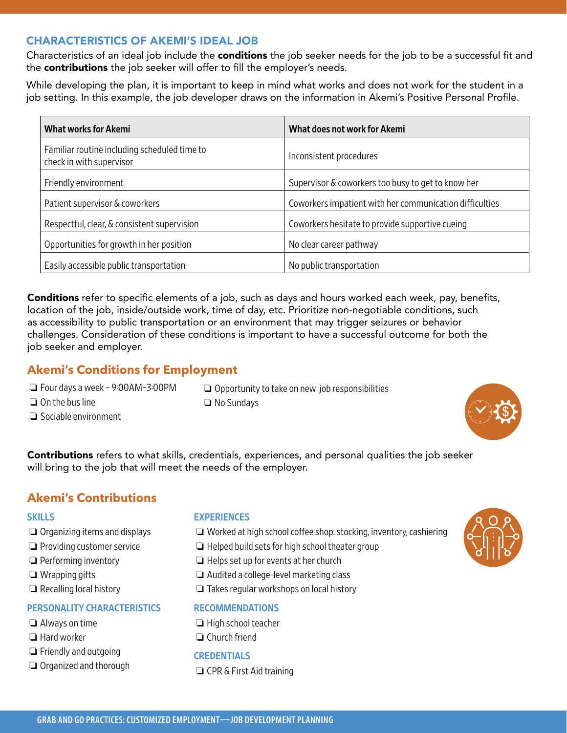#### CHARACTERISTICS OF AKEMI'S IDEAL JOB

Characteristics of an ideal job include the **conditions** the job seeker needs for the job to be a successful fit and the contributions the job seeker will offer to fill the employer's needs.

While developing the plan, it is important to keep in mind what works and does not work for the student in a job setting. In this example, the job developer draws on the information in Akemi's Positive Personal Profile.

| <b>What works for Akemi</b>                                              | What does not work for Akemi                            |
|--------------------------------------------------------------------------|---------------------------------------------------------|
| Familiar routine including scheduled time to<br>check in with supervisor | Inconsistent procedures                                 |
| Friendly environment                                                     | Supervisor & coworkers too busy to get to know her      |
| Patient supervisor & coworkers                                           | Coworkers impatient with her communication difficulties |
| Respectful, clear, & consistent supervision                              | Coworkers hesitate to provide supportive cueing         |
| Opportunities for growth in her position                                 | No clear career pathway                                 |
| Easily accessible public transportation                                  | No public transportation                                |

**Conditions** refer to specific elements of a job, such as days and hours worked each week, pay, benefits, location of the job, inside/outside work, time of day, etc. Prioritize non-negotiable conditions, such as accessibility to public transportation or an environment that may trigger seizures or behavior challenges. Consideration of these conditions is important to have a successful outcome for both the job seeker and employer.

### **Akemi's Conditions for Employment**

- ❏ Four days a week 9:00AM–3:00PM
- ❏ On the bus line
- ❏ Sociable environment

❏ Opportunity to take on new job responsibilities ❏ No Sundays



Contributions refers to what skills, credentials, experiences, and personal qualities the job seeker will bring to the job that will meet the needs of the employer.

# **Akemi's Contributions**

#### **SKILLS**

- ❏ Organizing items and displays
- ❏ Providing customer service
- ❏ Performing inventory
- ❏ Wrapping gifts
- ❏ Recalling local history

#### PERSONALITY CHARACTERISTICS

- ❏ Always on time
- ❏ Hard worker
- ❏ Friendly and outgoing
- ❏ Organized and thorough

#### **EXPERIENCES**

- ❏ Worked at high school coffee shop: stocking, inventory, cashiering
- ❏ Helped build sets for high school theater group
- ❏ Helps set up for events at her church
- ❏ Audited a college-level marketing class
- ❏ Takes regular workshops on local history

#### RECOMMENDATIONS

- ❏ High school teacher
- ❏ Church friend

#### **CREDENTIALS**

❏ CPR & First Aid training

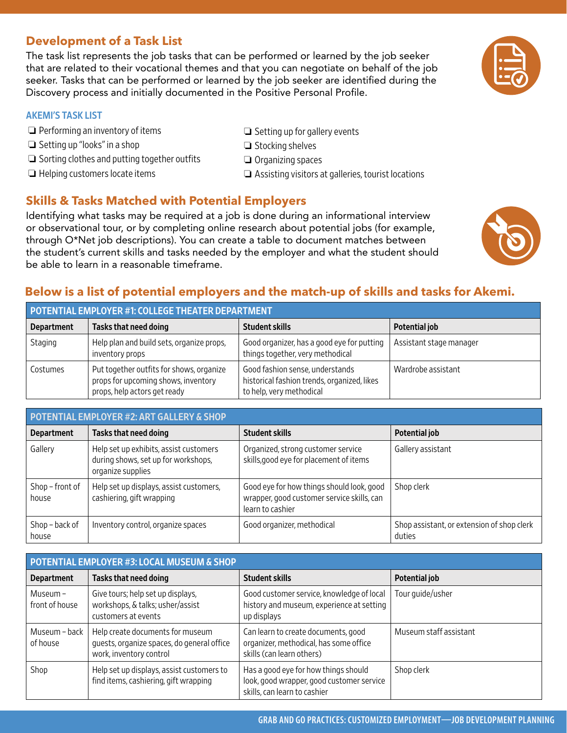# **Development of a Task List**

The task list represents the job tasks that can be performed or learned by the job seeker that are related to their vocational themes and that you can negotiate on behalf of the job seeker. Tasks that can be performed or learned by the job seeker are identified during the Discovery process and initially documented in the Positive Personal Profile.

#### AKEMI'S TASK LIST

- ❏ Performing an inventory of items
- ❏ Setting up "looks" in a shop
- ❏ Sorting clothes and putting together outfits
- ❏ Helping customers locate items
- **Skills & Tasks Matched with Potential Employers**

Identifying what tasks may be required at a job is done during an informational interview or observational tour, or by completing online research about potential jobs (for example, through O\*Net job descriptions). You can create a table to document matches between the student's current skills and tasks needed by the employer and what the student should be able to learn in a reasonable timeframe.

## **Below is a list of potential employers and the match-up of skills and tasks for Akemi.**

| <b>POTENTIAL EMPLOYER #1: COLLEGE THEATER DEPARTMENT</b> |                                                                                                                 |                                                                                                            |                         |  |
|----------------------------------------------------------|-----------------------------------------------------------------------------------------------------------------|------------------------------------------------------------------------------------------------------------|-------------------------|--|
| <b>Department</b>                                        | Tasks that need doing                                                                                           | <b>Student skills</b>                                                                                      | Potential job           |  |
| Staging                                                  | Help plan and build sets, organize props,<br>inventory props                                                    | Good organizer, has a good eye for putting<br>things together, very methodical                             | Assistant stage manager |  |
| Costumes                                                 | Put together outfits for shows, organize<br>props for upcoming shows, inventory<br>props, help actors get ready | Good fashion sense, understands<br>historical fashion trends, organized, likes<br>to help, very methodical | Wardrobe assistant      |  |

| <b>POTENTIAL EMPLOYER #2: ART GALLERY &amp; SHOP</b> |                                                                                                    |                                                                                                             |                                                      |  |  |
|------------------------------------------------------|----------------------------------------------------------------------------------------------------|-------------------------------------------------------------------------------------------------------------|------------------------------------------------------|--|--|
| <b>Department</b>                                    | <b>Tasks that need doing</b>                                                                       | <b>Student skills</b>                                                                                       | Potential job                                        |  |  |
| Gallery                                              | Help set up exhibits, assist customers<br>during shows, set up for workshops,<br>organize supplies | Organized, strong customer service<br>skills, good eye for placement of items                               | Gallery assistant                                    |  |  |
| Shop – front of<br>house                             | Help set up displays, assist customers,<br>cashiering, gift wrapping                               | Good eye for how things should look, good<br>wrapper, good customer service skills, can<br>learn to cashier | Shop clerk                                           |  |  |
| Shop – back of<br>house                              | Inventory control, organize spaces                                                                 | Good organizer, methodical                                                                                  | Shop assistant, or extension of shop clerk<br>duties |  |  |

| <b>POTENTIAL EMPLOYER #3: LOCAL MUSEUM &amp; SHOP</b> |                                                                                                           |                                                                                                                   |                        |  |
|-------------------------------------------------------|-----------------------------------------------------------------------------------------------------------|-------------------------------------------------------------------------------------------------------------------|------------------------|--|
| <b>Department</b>                                     | <b>Tasks that need doing</b>                                                                              | <b>Student skills</b>                                                                                             | Potential job          |  |
| Museum -<br>front of house                            | Give tours; help set up displays,<br>workshops, & talks; usher/assist<br>customers at events              | Good customer service, knowledge of local<br>history and museum, experience at setting<br>up displays             | Tour guide/usher       |  |
| Museum – back<br>of house                             | Help create documents for museum<br>guests, organize spaces, do general office<br>work, inventory control | Can learn to create documents, good<br>organizer, methodical, has some office<br>skills (can learn others)        | Museum staff assistant |  |
| Shop                                                  | Help set up displays, assist customers to<br>find items, cashiering, gift wrapping                        | Has a good eye for how things should<br>look, good wrapper, good customer service<br>skills, can learn to cashier | Shop clerk             |  |





❏ Setting up for gallery events

- ❏ Stocking shelves
- ❏ Organizing spaces
	- ❏ Assisting visitors at galleries, tourist locations